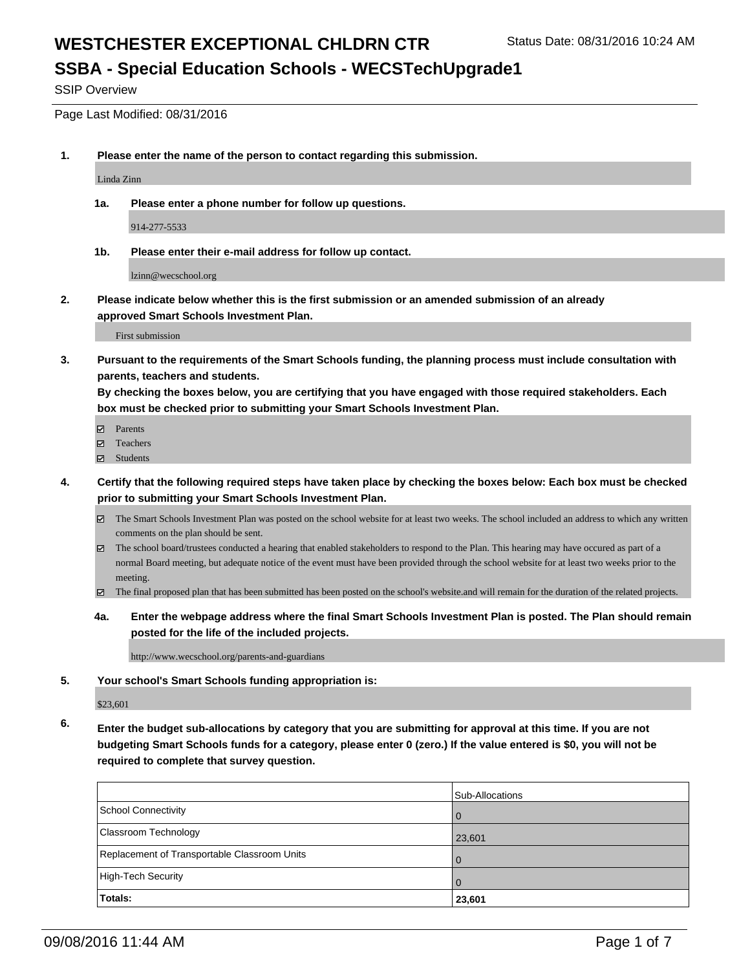### **SSBA - Special Education Schools - WECSTechUpgrade1**

SSIP Overview

Page Last Modified: 08/31/2016

**1. Please enter the name of the person to contact regarding this submission.**

Linda Zinn

**1a. Please enter a phone number for follow up questions.**

914-277-5533

**1b. Please enter their e-mail address for follow up contact.**

lzinn@wecschool.org

**2. Please indicate below whether this is the first submission or an amended submission of an already approved Smart Schools Investment Plan.**

First submission

**3. Pursuant to the requirements of the Smart Schools funding, the planning process must include consultation with parents, teachers and students.**

**By checking the boxes below, you are certifying that you have engaged with those required stakeholders. Each box must be checked prior to submitting your Smart Schools Investment Plan.**

- **Parents**
- Teachers
- Students
- **4. Certify that the following required steps have taken place by checking the boxes below: Each box must be checked prior to submitting your Smart Schools Investment Plan.**
	- The Smart Schools Investment Plan was posted on the school website for at least two weeks. The school included an address to which any written comments on the plan should be sent.
	- $\boxtimes$  The school board/trustees conducted a hearing that enabled stakeholders to respond to the Plan. This hearing may have occured as part of a normal Board meeting, but adequate notice of the event must have been provided through the school website for at least two weeks prior to the meeting.
	- The final proposed plan that has been submitted has been posted on the school's website.and will remain for the duration of the related projects.
	- **4a. Enter the webpage address where the final Smart Schools Investment Plan is posted. The Plan should remain posted for the life of the included projects.**

http://www.wecschool.org/parents-and-guardians

**5. Your school's Smart Schools funding appropriation is:**

\$23,601

**6. Enter the budget sub-allocations by category that you are submitting for approval at this time. If you are not budgeting Smart Schools funds for a category, please enter 0 (zero.) If the value entered is \$0, you will not be required to complete that survey question.**

|                                              | Sub-Allocations |
|----------------------------------------------|-----------------|
| School Connectivity                          |                 |
| Classroom Technology                         | 23,601          |
| Replacement of Transportable Classroom Units |                 |
| High-Tech Security                           |                 |
| Totals:                                      | 23,601          |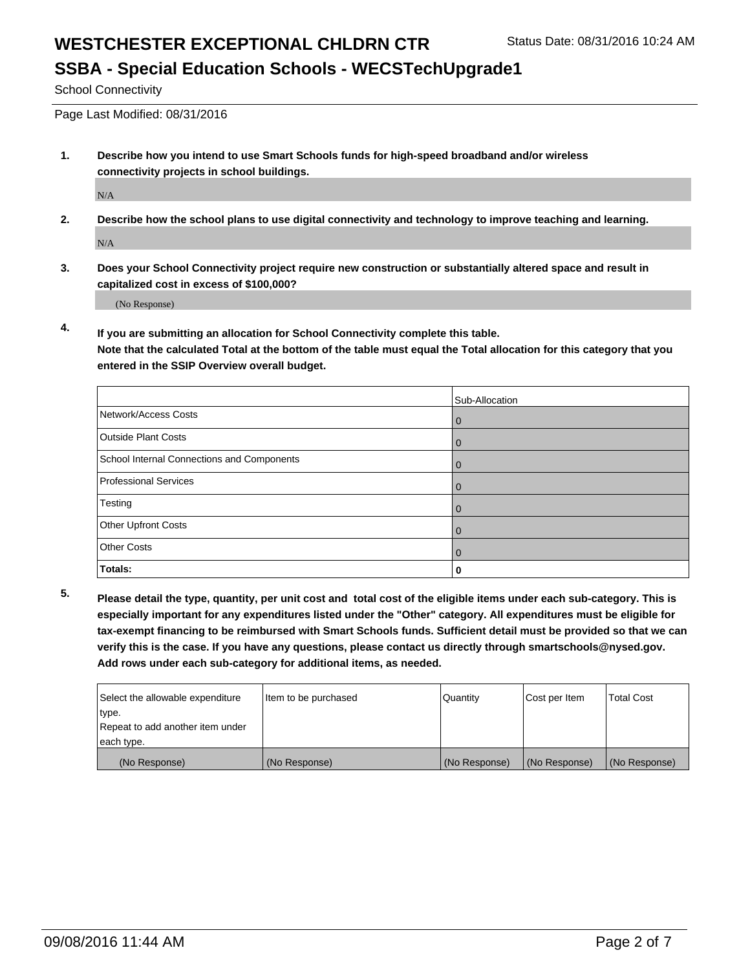# **SSBA - Special Education Schools - WECSTechUpgrade1**

School Connectivity

Page Last Modified: 08/31/2016

**1. Describe how you intend to use Smart Schools funds for high-speed broadband and/or wireless connectivity projects in school buildings.**

N/A

**2. Describe how the school plans to use digital connectivity and technology to improve teaching and learning.**

N/A

**3. Does your School Connectivity project require new construction or substantially altered space and result in capitalized cost in excess of \$100,000?**

(No Response)

**4. If you are submitting an allocation for School Connectivity complete this table.**

**Note that the calculated Total at the bottom of the table must equal the Total allocation for this category that you entered in the SSIP Overview overall budget.** 

|                                            | Sub-Allocation |
|--------------------------------------------|----------------|
| Network/Access Costs                       | O              |
| <b>Outside Plant Costs</b>                 | U              |
| School Internal Connections and Components | O              |
| <b>Professional Services</b>               |                |
| Testing                                    | O              |
| Other Upfront Costs                        | 0              |
| <b>Other Costs</b>                         |                |
| Totals:                                    |                |

**5. Please detail the type, quantity, per unit cost and total cost of the eligible items under each sub-category. This is especially important for any expenditures listed under the "Other" category. All expenditures must be eligible for tax-exempt financing to be reimbursed with Smart Schools funds. Sufficient detail must be provided so that we can verify this is the case. If you have any questions, please contact us directly through smartschools@nysed.gov. Add rows under each sub-category for additional items, as needed.**

| Select the allowable expenditure | Item to be purchased | Quantity      | Cost per Item | <b>Total Cost</b> |
|----------------------------------|----------------------|---------------|---------------|-------------------|
| type.                            |                      |               |               |                   |
| Repeat to add another item under |                      |               |               |                   |
| each type.                       |                      |               |               |                   |
| (No Response)                    | (No Response)        | (No Response) | (No Response) | (No Response)     |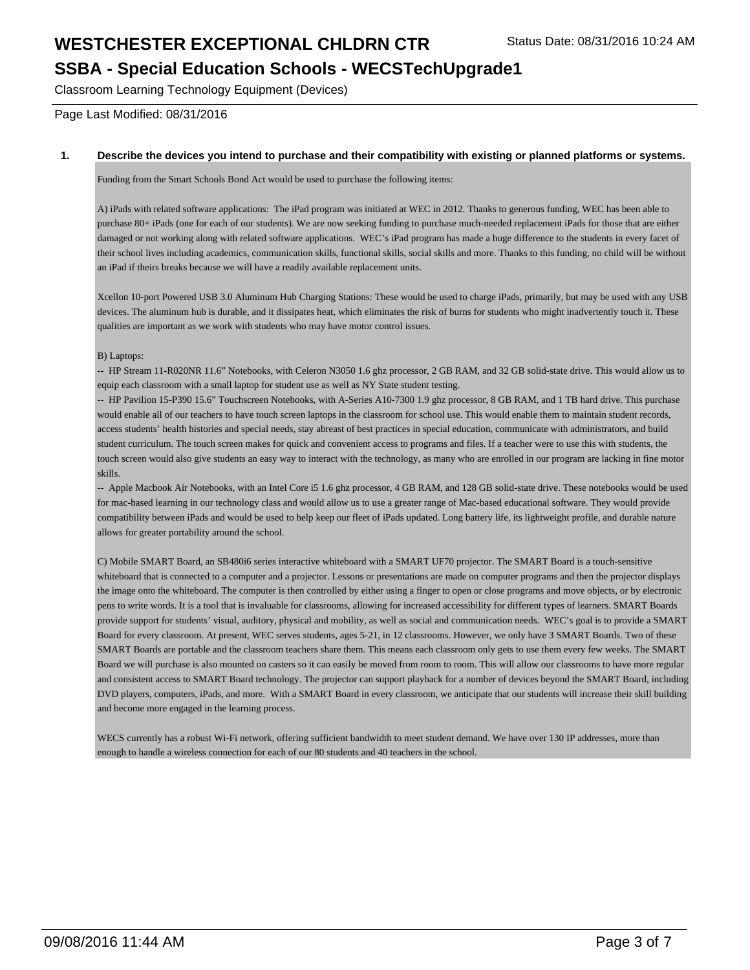# WESTCHESTER EXCEPTIONAL CHLDRN CTR Status Date: 08/31/2016 10:24 AM **SSBA - Special Education Schools - WECSTechUpgrade1**

Classroom Learning Technology Equipment (Devices)

Page Last Modified: 08/31/2016

#### **1. Describe the devices you intend to purchase and their compatibility with existing or planned platforms or systems.**

Funding from the Smart Schools Bond Act would be used to purchase the following items:

A) iPads with related software applications: The iPad program was initiated at WEC in 2012. Thanks to generous funding, WEC has been able to purchase 80+ iPads (one for each of our students). We are now seeking funding to purchase much-needed replacement iPads for those that are either damaged or not working along with related software applications. WEC's iPad program has made a huge difference to the students in every facet of their school lives including academics, communication skills, functional skills, social skills and more. Thanks to this funding, no child will be without an iPad if theirs breaks because we will have a readily available replacement units.

Xcellon 10-port Powered USB 3.0 Aluminum Hub Charging Stations: These would be used to charge iPads, primarily, but may be used with any USB devices. The aluminum hub is durable, and it dissipates heat, which eliminates the risk of burns for students who might inadvertently touch it. These qualities are important as we work with students who may have motor control issues.

B) Laptops:

-- HP Stream 11-R020NR 11.6" Notebooks, with Celeron N3050 1.6 ghz processor, 2 GB RAM, and 32 GB solid-state drive. This would allow us to equip each classroom with a small laptop for student use as well as NY State student testing.

-- HP Pavilion 15-P390 15.6" Touchscreen Notebooks, with A-Series A10-7300 1.9 ghz processor, 8 GB RAM, and 1 TB hard drive. This purchase would enable all of our teachers to have touch screen laptops in the classroom for school use. This would enable them to maintain student records, access students' health histories and special needs, stay abreast of best practices in special education, communicate with administrators, and build student curriculum. The touch screen makes for quick and convenient access to programs and files. If a teacher were to use this with students, the touch screen would also give students an easy way to interact with the technology, as many who are enrolled in our program are lacking in fine motor skills.

-- Apple Macbook Air Notebooks, with an Intel Core i5 1.6 ghz processor, 4 GB RAM, and 128 GB solid-state drive. These notebooks would be used for mac-based learning in our technology class and would allow us to use a greater range of Mac-based educational software. They would provide compatibility between iPads and would be used to help keep our fleet of iPads updated. Long battery life, its lightweight profile, and durable nature allows for greater portability around the school.

C) Mobile SMART Board, an SB480i6 series interactive whiteboard with a SMART UF70 projector. The SMART Board is a touch-sensitive whiteboard that is connected to a computer and a projector. Lessons or presentations are made on computer programs and then the projector displays the image onto the whiteboard. The computer is then controlled by either using a finger to open or close programs and move objects, or by electronic pens to write words. It is a tool that is invaluable for classrooms, allowing for increased accessibility for different types of learners. SMART Boards provide support for students' visual, auditory, physical and mobility, as well as social and communication needs. WEC's goal is to provide a SMART Board for every classroom. At present, WEC serves students, ages 5-21, in 12 classrooms. However, we only have 3 SMART Boards. Two of these SMART Boards are portable and the classroom teachers share them. This means each classroom only gets to use them every few weeks. The SMART Board we will purchase is also mounted on casters so it can easily be moved from room to room. This will allow our classrooms to have more regular and consistent access to SMART Board technology. The projector can support playback for a number of devices beyond the SMART Board, including DVD players, computers, iPads, and more. With a SMART Board in every classroom, we anticipate that our students will increase their skill building and become more engaged in the learning process.

WECS currently has a robust Wi-Fi network, offering sufficient bandwidth to meet student demand. We have over 130 IP addresses, more than enough to handle a wireless connection for each of our 80 students and 40 teachers in the school.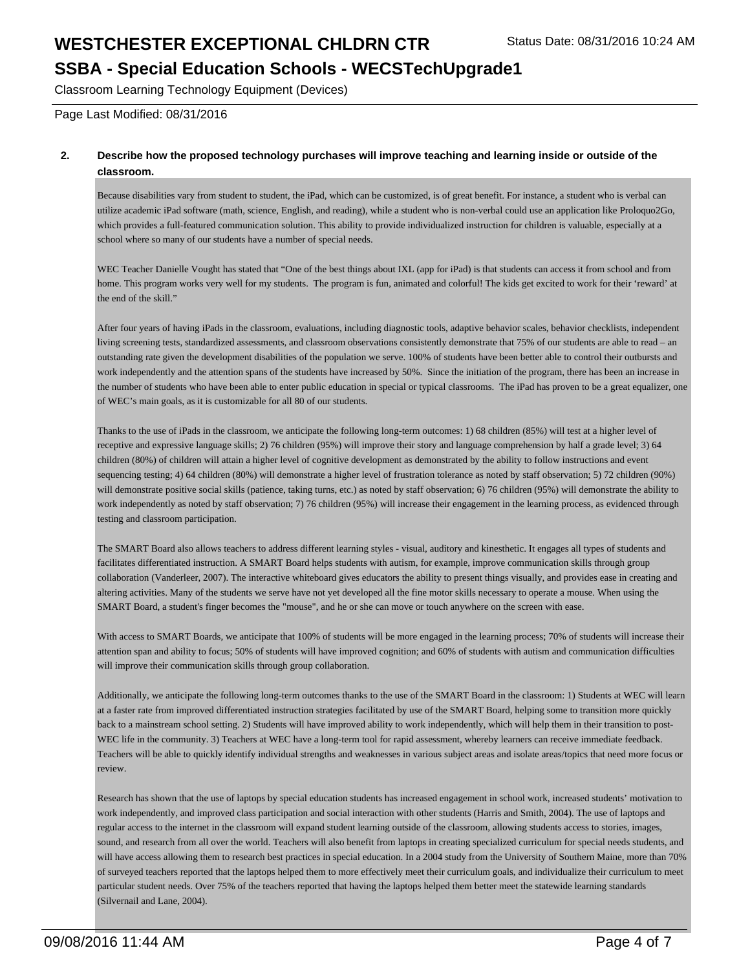**SSBA - Special Education Schools - WECSTechUpgrade1**

Classroom Learning Technology Equipment (Devices)

Page Last Modified: 08/31/2016

#### **2. Describe how the proposed technology purchases will improve teaching and learning inside or outside of the classroom.**

Because disabilities vary from student to student, the iPad, which can be customized, is of great benefit. For instance, a student who is verbal can utilize academic iPad software (math, science, English, and reading), while a student who is non-verbal could use an application like Proloquo2Go, which provides a full-featured communication solution. This ability to provide individualized instruction for children is valuable, especially at a school where so many of our students have a number of special needs.

WEC Teacher Danielle Vought has stated that "One of the best things about IXL (app for iPad) is that students can access it from school and from home. This program works very well for my students. The program is fun, animated and colorful! The kids get excited to work for their 'reward' at the end of the skill."

After four years of having iPads in the classroom, evaluations, including diagnostic tools, adaptive behavior scales, behavior checklists, independent living screening tests, standardized assessments, and classroom observations consistently demonstrate that 75% of our students are able to read – an outstanding rate given the development disabilities of the population we serve. 100% of students have been better able to control their outbursts and work independently and the attention spans of the students have increased by 50%. Since the initiation of the program, there has been an increase in the number of students who have been able to enter public education in special or typical classrooms. The iPad has proven to be a great equalizer, one of WEC's main goals, as it is customizable for all 80 of our students.

Thanks to the use of iPads in the classroom, we anticipate the following long-term outcomes: 1) 68 children (85%) will test at a higher level of receptive and expressive language skills; 2) 76 children (95%) will improve their story and language comprehension by half a grade level; 3) 64 children (80%) of children will attain a higher level of cognitive development as demonstrated by the ability to follow instructions and event sequencing testing; 4) 64 children (80%) will demonstrate a higher level of frustration tolerance as noted by staff observation; 5) 72 children (90%) will demonstrate positive social skills (patience, taking turns, etc.) as noted by staff observation; 6) 76 children (95%) will demonstrate the ability to work independently as noted by staff observation; 7) 76 children (95%) will increase their engagement in the learning process, as evidenced through testing and classroom participation.

The SMART Board also allows teachers to address different learning styles - visual, auditory and kinesthetic. It engages all types of students and facilitates differentiated instruction. A SMART Board helps students with autism, for example, improve communication skills through group collaboration (Vanderleer, 2007). The interactive whiteboard gives educators the ability to present things visually, and provides ease in creating and altering activities. Many of the students we serve have not yet developed all the fine motor skills necessary to operate a mouse. When using the SMART Board, a student's finger becomes the "mouse", and he or she can move or touch anywhere on the screen with ease.

With access to SMART Boards, we anticipate that 100% of students will be more engaged in the learning process; 70% of students will increase their attention span and ability to focus; 50% of students will have improved cognition; and 60% of students with autism and communication difficulties will improve their communication skills through group collaboration.

Additionally, we anticipate the following long-term outcomes thanks to the use of the SMART Board in the classroom: 1) Students at WEC will learn at a faster rate from improved differentiated instruction strategies facilitated by use of the SMART Board, helping some to transition more quickly back to a mainstream school setting. 2) Students will have improved ability to work independently, which will help them in their transition to post-WEC life in the community. 3) Teachers at WEC have a long-term tool for rapid assessment, whereby learners can receive immediate feedback. Teachers will be able to quickly identify individual strengths and weaknesses in various subject areas and isolate areas/topics that need more focus or review.

Research has shown that the use of laptops by special education students has increased engagement in school work, increased students' motivation to work independently, and improved class participation and social interaction with other students (Harris and Smith, 2004). The use of laptops and regular access to the internet in the classroom will expand student learning outside of the classroom, allowing students access to stories, images, sound, and research from all over the world. Teachers will also benefit from laptops in creating specialized curriculum for special needs students, and will have access allowing them to research best practices in special education. In a 2004 study from the University of Southern Maine, more than 70% of surveyed teachers reported that the laptops helped them to more effectively meet their curriculum goals, and individualize their curriculum to meet particular student needs. Over 75% of the teachers reported that having the laptops helped them better meet the statewide learning standards (Silvernail and Lane, 2004).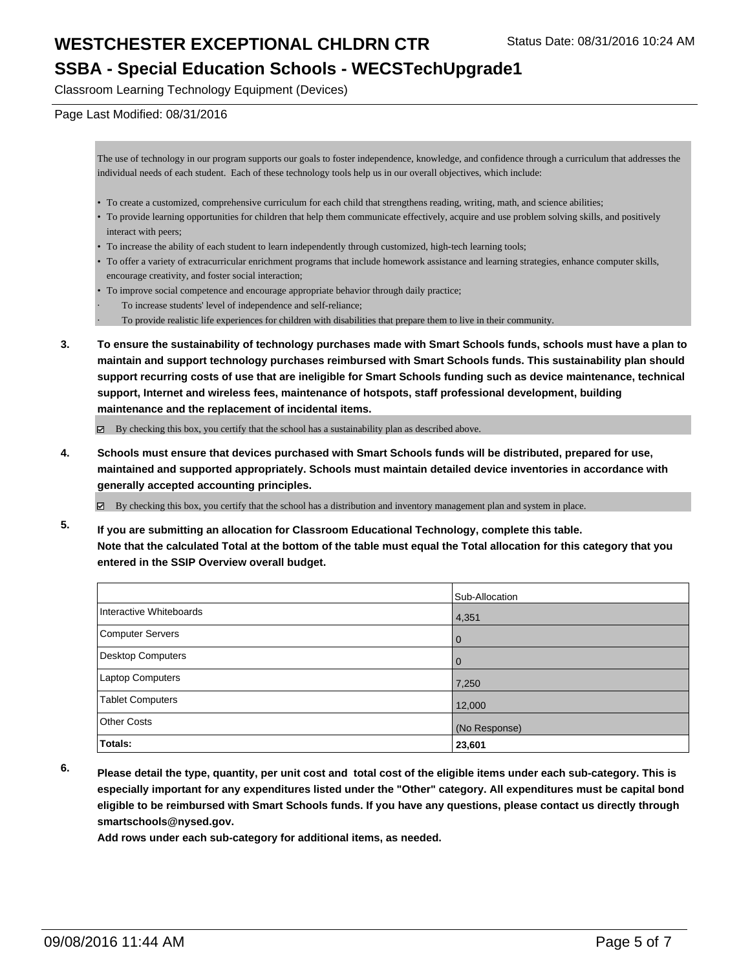#### **SSBA - Special Education Schools - WECSTechUpgrade1**

Classroom Learning Technology Equipment (Devices)

#### Page Last Modified: 08/31/2016

The use of technology in our program supports our goals to foster independence, knowledge, and confidence through a curriculum that addresses the individual needs of each student. Each of these technology tools help us in our overall objectives, which include:

- To create a customized, comprehensive curriculum for each child that strengthens reading, writing, math, and science abilities;
- To provide learning opportunities for children that help them communicate effectively, acquire and use problem solving skills, and positively interact with peers;
- To increase the ability of each student to learn independently through customized, high-tech learning tools;
- To offer a variety of extracurricular enrichment programs that include homework assistance and learning strategies, enhance computer skills, encourage creativity, and foster social interaction;
- To improve social competence and encourage appropriate behavior through daily practice;
- To increase students' level of independence and self-reliance;
- · To provide realistic life experiences for children with disabilities that prepare them to live in their community.
- **3. To ensure the sustainability of technology purchases made with Smart Schools funds, schools must have a plan to maintain and support technology purchases reimbursed with Smart Schools funds. This sustainability plan should support recurring costs of use that are ineligible for Smart Schools funding such as device maintenance, technical support, Internet and wireless fees, maintenance of hotspots, staff professional development, building maintenance and the replacement of incidental items.**

 $\boxtimes$  By checking this box, you certify that the school has a sustainability plan as described above.

- **4. Schools must ensure that devices purchased with Smart Schools funds will be distributed, prepared for use, maintained and supported appropriately. Schools must maintain detailed device inventories in accordance with generally accepted accounting principles.**
	- By checking this box, you certify that the school has a distribution and inventory management plan and system in place.
- **5. If you are submitting an allocation for Classroom Educational Technology, complete this table. Note that the calculated Total at the bottom of the table must equal the Total allocation for this category that you entered in the SSIP Overview overall budget.**

|                         | Sub-Allocation |
|-------------------------|----------------|
| Interactive Whiteboards | 4,351          |
| Computer Servers        | $\Omega$       |
| Desktop Computers       |                |
| Laptop Computers        | 7,250          |
| Tablet Computers        | 12,000         |
| Other Costs             | (No Response)  |
| Totals:                 | 23,601         |

**6. Please detail the type, quantity, per unit cost and total cost of the eligible items under each sub-category. This is especially important for any expenditures listed under the "Other" category. All expenditures must be capital bond eligible to be reimbursed with Smart Schools funds. If you have any questions, please contact us directly through smartschools@nysed.gov.**

**Add rows under each sub-category for additional items, as needed.**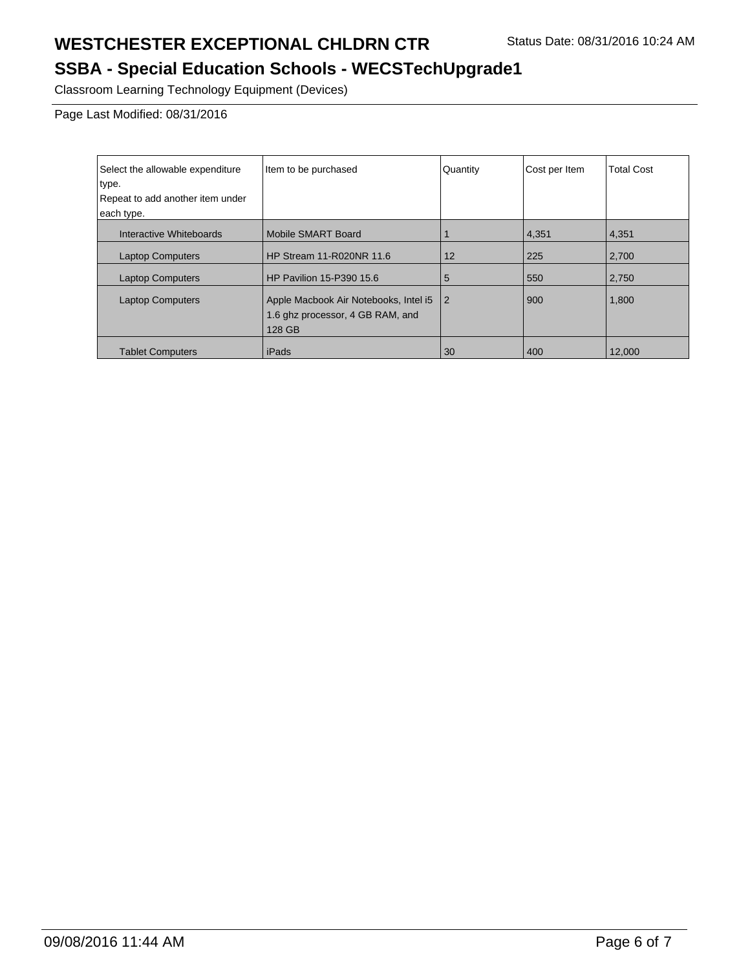### **SSBA - Special Education Schools - WECSTechUpgrade1**

Classroom Learning Technology Equipment (Devices)

Page Last Modified: 08/31/2016

| Select the allowable expenditure | Item to be purchased                                                                | Quantity       | Cost per Item | <b>Total Cost</b> |
|----------------------------------|-------------------------------------------------------------------------------------|----------------|---------------|-------------------|
| type.                            |                                                                                     |                |               |                   |
| Repeat to add another item under |                                                                                     |                |               |                   |
| each type.                       |                                                                                     |                |               |                   |
| Interactive Whiteboards          | Mobile SMART Board                                                                  |                | 4,351         | 4,351             |
| <b>Laptop Computers</b>          | HP Stream 11-R020NR 11.6                                                            | 12             | 225           | 2,700             |
| <b>Laptop Computers</b>          | <b>HP Pavilion 15-P390 15.6</b>                                                     | 5              | 550           | 2,750             |
| <b>Laptop Computers</b>          | Apple Macbook Air Notebooks, Intel i5<br>1.6 ghz processor, 4 GB RAM, and<br>128 GB | $\overline{2}$ | 900           | 1,800             |
| <b>Tablet Computers</b>          | iPads                                                                               | 30             | 400           | 12.000            |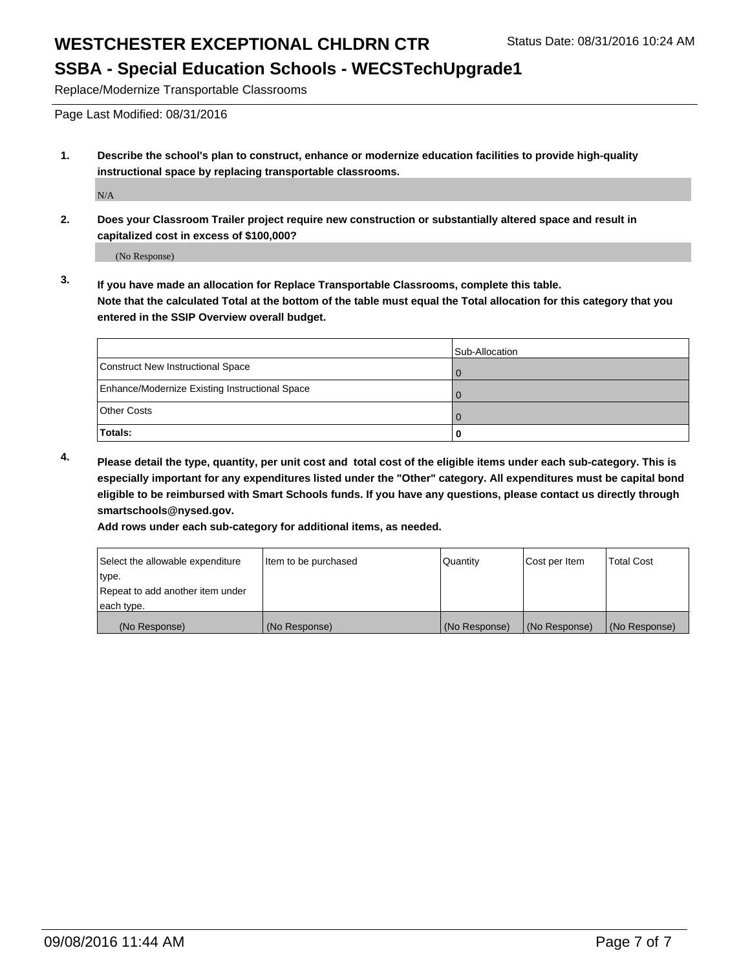#### **SSBA - Special Education Schools - WECSTechUpgrade1**

Replace/Modernize Transportable Classrooms

Page Last Modified: 08/31/2016

**1. Describe the school's plan to construct, enhance or modernize education facilities to provide high-quality instructional space by replacing transportable classrooms.**

N/A

**2. Does your Classroom Trailer project require new construction or substantially altered space and result in capitalized cost in excess of \$100,000?**

(No Response)

**3. If you have made an allocation for Replace Transportable Classrooms, complete this table. Note that the calculated Total at the bottom of the table must equal the Total allocation for this category that you entered in the SSIP Overview overall budget.**

|                                                | Sub-Allocation |
|------------------------------------------------|----------------|
| Construct New Instructional Space              |                |
| Enhance/Modernize Existing Instructional Space |                |
| Other Costs                                    |                |
| Totals:                                        |                |

**4. Please detail the type, quantity, per unit cost and total cost of the eligible items under each sub-category. This is especially important for any expenditures listed under the "Other" category. All expenditures must be capital bond eligible to be reimbursed with Smart Schools funds. If you have any questions, please contact us directly through smartschools@nysed.gov.**

**Add rows under each sub-category for additional items, as needed.**

| Select the allowable expenditure | litem to be purchased | Quantity      | Cost per Item | <b>Total Cost</b> |
|----------------------------------|-----------------------|---------------|---------------|-------------------|
| ∣type.                           |                       |               |               |                   |
| Repeat to add another item under |                       |               |               |                   |
| each type.                       |                       |               |               |                   |
| (No Response)                    | (No Response)         | (No Response) | (No Response) | (No Response)     |